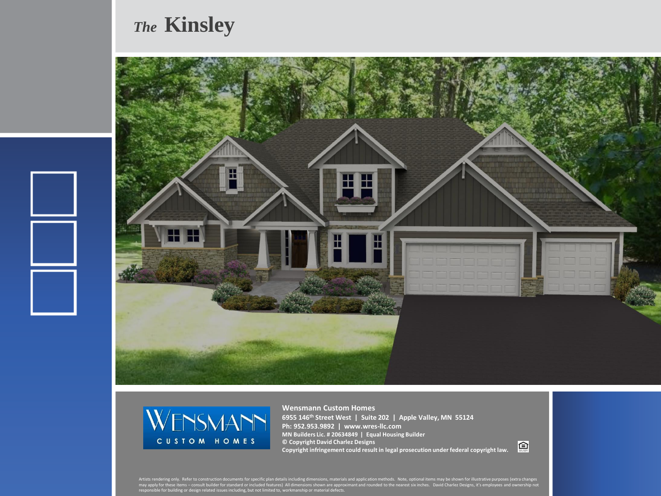## *The* **Kinsley**





**Wensmann Custom Homes 6955 146th Street West | Suite 202 | Apple Valley, MN 55124 Ph: 952.953.9892 | www.wres-llc.com MN Builders Lic. # 20634849 | Equal Housing Builder © Copyright David Charlez Designs Copyright infringement could result in legal prosecution under federal copyright law.**

回

Artists rendering only. Refer to construction documents for specific plan details including dimensions, materials and application methods. Note, optional items may be shown for illustrative purposes (extra changes<br>may appl